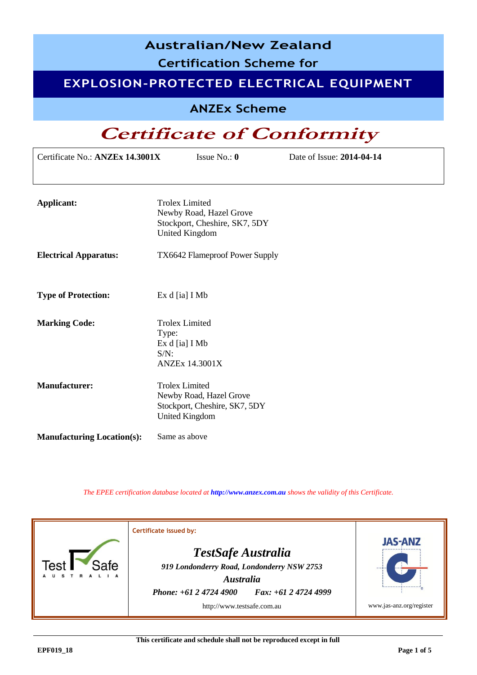| <b>Australian/New Zealand</b><br><b>Certification Scheme for</b> |                                                                                                            |                                          |  |  |  |  |
|------------------------------------------------------------------|------------------------------------------------------------------------------------------------------------|------------------------------------------|--|--|--|--|
|                                                                  |                                                                                                            | EXPLOSION-PROTECTED ELECTRICAL EQUIPMENT |  |  |  |  |
|                                                                  | <b>ANZEx Scheme</b>                                                                                        |                                          |  |  |  |  |
|                                                                  | <b>Certificate of Conformity</b>                                                                           |                                          |  |  |  |  |
| Certificate No.: ANZEx 14.3001X                                  | Issue No.: $0$                                                                                             | Date of Issue: 2014-04-14                |  |  |  |  |
|                                                                  |                                                                                                            |                                          |  |  |  |  |
| <b>Applicant:</b>                                                | <b>Trolex Limited</b><br>Newby Road, Hazel Grove<br>Stockport, Cheshire, SK7, 5DY<br><b>United Kingdom</b> |                                          |  |  |  |  |
| <b>Electrical Apparatus:</b>                                     | TX6642 Flameproof Power Supply                                                                             |                                          |  |  |  |  |
| <b>Type of Protection:</b>                                       | Ex d [ia] I Mb                                                                                             |                                          |  |  |  |  |
| <b>Marking Code:</b>                                             | <b>Trolex Limited</b><br>Type:<br>Ex d [ia] I Mb<br>$S/N$ :<br><b>ANZEx 14.3001X</b>                       |                                          |  |  |  |  |
| <b>Manufacturer:</b>                                             | <b>Trolex Limited</b><br>Newby Road, Hazel Grove<br>Stockport, Cheshire, SK7, 5DY<br><b>United Kingdom</b> |                                          |  |  |  |  |
| <b>Manufacturing Location(s):</b>                                | Same as above                                                                                              |                                          |  |  |  |  |

*The EPEE certification database located at [http://www.anzex.com.au](http://www.anzex.com.au/) shows the validity of this Certificate.*

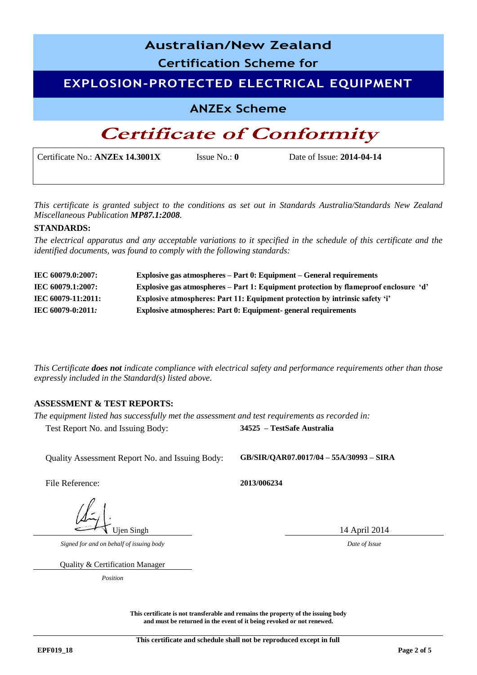| <b>Australian/New Zealand</b>            |                         |                           |  |  |
|------------------------------------------|-------------------------|---------------------------|--|--|
| <b>Certification Scheme for</b>          |                         |                           |  |  |
| EXPLOSION-PROTECTED ELECTRICAL EQUIPMENT |                         |                           |  |  |
| <b>ANZEx Scheme</b>                      |                         |                           |  |  |
| <b>Certificate of Conformity</b>         |                         |                           |  |  |
| Certificate No.: ANZEx 14.3001X          | Issue No.: $\mathbf{0}$ | Date of Issue: 2014-04-14 |  |  |

*This certificate is granted subject to the conditions as set out in Standards Australia/Standards New Zealand Miscellaneous Publication MP87.1:2008.*

#### **STANDARDS:**

*The electrical apparatus and any acceptable variations to it specified in the schedule of this certificate and the identified documents, was found to comply with the following standards:* 

| IEC 60079.0:2007:  | Explosive gas atmospheres – Part 0: Equipment – General requirements                 |
|--------------------|--------------------------------------------------------------------------------------|
| IEC 60079.1:2007:  | Explosive gas atmospheres – Part 1: Equipment protection by flameproof enclosure 'd' |
| IEC 60079-11:2011: | Explosive atmospheres: Part 11: Equipment protection by intrinsic safety 'i'         |
| IEC 60079-0:2011:  | <b>Explosive atmospheres: Part 0: Equipment- general requirements</b>                |

*This Certificate does not indicate compliance with electrical safety and performance requirements other than those expressly included in the Standard(s) listed above.*

#### **ASSESSMENT & TEST REPORTS:**

*The equipment listed has successfully met the assessment and test requirements as recorded in:*  Test Report No. and Issuing Body: **34525 – TestSafe Australia**

Quality Assessment Report No. and Issuing Body: **GB/SIR/QAR07.0017/04 – 55A/30993 – SIRA**

File Reference: **2013/006234**

Ujen Singh 14 April 2014

*Signed for and on behalf of issuing body Date of Issue*

Quality & Certification Manager

*Position*

**This certificate is not transferable and remains the property of the issuing body and must be returned in the event of it being revoked or not renewed.**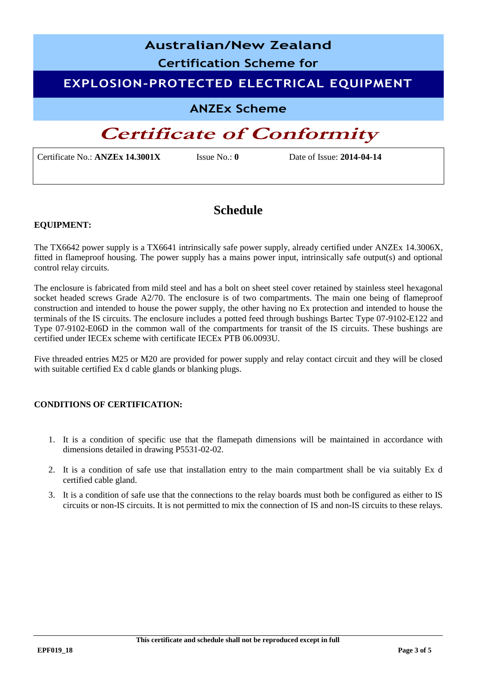## **Australian/New Zealand Certification Scheme for EXPLOSION-PROTECTED ELECTRICAL EQUIPMENT ANZEx Scheme**

### **Certificate of Conformity**

Certificate No.: **ANZEx 14.3001X** Issue No.: **0** Date of Issue: **2014-04-14**

### **Schedule**

#### **EQUIPMENT:**

The TX6642 power supply is a TX6641 intrinsically safe power supply, already certified under ANZEx 14.3006X, fitted in flameproof housing. The power supply has a mains power input, intrinsically safe output(s) and optional control relay circuits.

The enclosure is fabricated from mild steel and has a bolt on sheet steel cover retained by stainless steel hexagonal socket headed screws Grade A2/70. The enclosure is of two compartments. The main one being of flameproof construction and intended to house the power supply, the other having no Ex protection and intended to house the terminals of the IS circuits. The enclosure includes a potted feed through bushings Bartec Type 07-9102-E122 and Type 07-9102-E06D in the common wall of the compartments for transit of the IS circuits. These bushings are certified under IECEx scheme with certificate IECEx PTB 06.0093U.

Five threaded entries M25 or M20 are provided for power supply and relay contact circuit and they will be closed with suitable certified Ex d cable glands or blanking plugs.

#### **CONDITIONS OF CERTIFICATION:**

- 1. It is a condition of specific use that the flamepath dimensions will be maintained in accordance with dimensions detailed in drawing P5531-02-02.
- 2. It is a condition of safe use that installation entry to the main compartment shall be via suitably Ex d certified cable gland.
- 3. It is a condition of safe use that the connections to the relay boards must both be configured as either to IS circuits or non-IS circuits. It is not permitted to mix the connection of IS and non-IS circuits to these relays.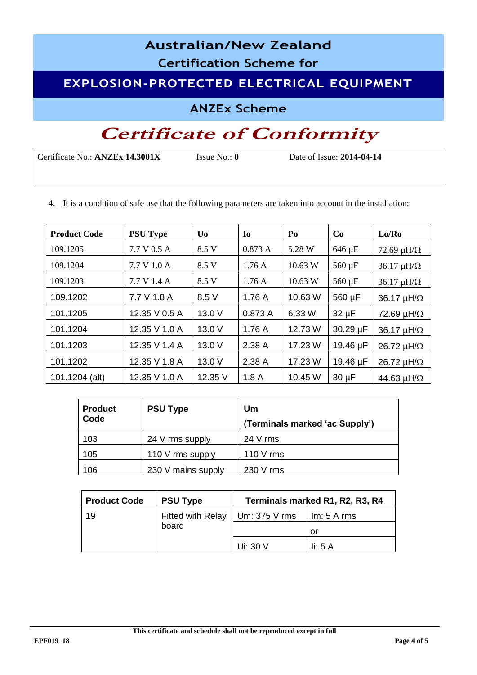# **Australian/New Zealand Certification Scheme for EXPLOSION-PROTECTED ELECTRICAL EQUIPMENT ANZEx Scheme Certificate of Conformity**

Certificate No.: **ANZEx 14.3001X** Issue No.: **0** Date of Issue: **2014-04-14**

4. It is a condition of safe use that the following parameters are taken into account in the installation:

| <b>Product Code</b> | <b>PSU Type</b> | U <sub>0</sub> | I <sub>0</sub> | Po      | Co          | Lo/Ro                   |
|---------------------|-----------------|----------------|----------------|---------|-------------|-------------------------|
| 109.1205            | 7.7 V 0.5 A     | 8.5 V          | 0.873A         | 5.28 W  | 646 µF      | 72.69 $\mu$ H/ $\Omega$ |
| 109.1204            | 7.7 V 1.0 A     | 8.5 V          | 1.76A          | 10.63 W | $560 \mu F$ | $36.17 \mu H/\Omega$    |
| 109.1203            | 7.7 V 1.4 A     | 8.5 V          | 1.76A          | 10.63 W | 560 µF      | $36.17 \mu H/\Omega$    |
| 109.1202            | 7.7 V 1.8 A     | 8.5 V          | 1.76A          | 10.63 W | 560 µF      | 36.17 $\mu$ H/ $\Omega$ |
| 101.1205            | 12.35 V 0.5 A   | 13.0 V         | 0.873 A        | 6.33 W  | $32 \mu F$  | 72.69 $\mu$ H/ $\Omega$ |
| 101.1204            | 12.35 V 1.0 A   | 13.0 V         | 1.76A          | 12.73 W | 30.29 µF    | 36.17 $\mu$ H/ $\Omega$ |
| 101.1203            | 12.35 V 1.4 A   | 13.0 V         | 2.38A          | 17.23 W | 19.46 µF    | 26.72 $\mu$ H/ $\Omega$ |
| 101.1202            | 12.35 V 1.8 A   | 13.0V          | 2.38 A         | 17.23 W | 19.46 µF    | 26.72 $\mu$ H/ $\Omega$ |
| 101.1204 (alt)      | 12.35 V 1.0 A   | 12.35 V        | 1.8A           | 10.45 W | $30 \mu F$  | 44.63 $\mu$ H/ $\Omega$ |

| <b>Product</b><br>Code | <b>PSU Type</b>    | Um<br>(Terminals marked 'ac Supply') |
|------------------------|--------------------|--------------------------------------|
| 103                    | 24 V rms supply    | 24 V rms                             |
| 105                    | 110 V rms supply   | 110 V rms                            |
| 106                    | 230 V mains supply | 230 V rms                            |

| <b>Product Code</b> | <b>PSU Type</b>                               | Terminals marked R1, R2, R3, R4 |                                  |  |
|---------------------|-----------------------------------------------|---------------------------------|----------------------------------|--|
| 19                  | <b>Fitted with Relay</b><br>$ $ Um: 375 V rms |                                 | $\parallel$ lm: 5 A rms          |  |
|                     | board                                         |                                 | or                               |  |
|                     |                                               | Ui: 30 V                        | $\mathop{\rm I}\nolimits$ i: 5 A |  |